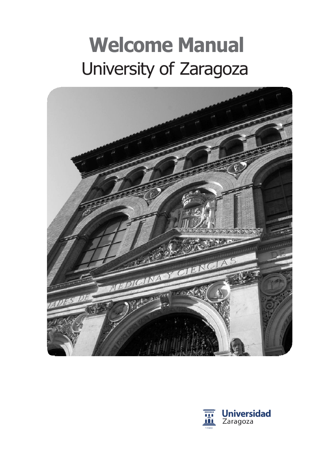# **Welcome Manual** University of Zaragoza



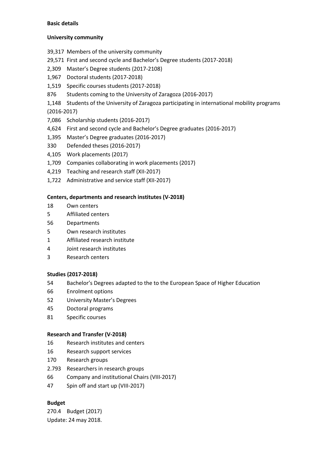# **Basic details**

# **University community**

- 39,317 Members of the university community
- 29,571 First and second cycle and Bachelor's Degree students (2017-2018)
- 2,309 Master's Degree students (2017-2108)
- 1,967 Doctoral students (2017-2018)
- 1,519 Specific courses students (2017-2018)
- 876 Students coming to the University of Zaragoza (2016-2017)
- 1,148 Students of the University of Zaragoza participating in international mobility programs (2016-2017)
- 7,086 Scholarship students (2016-2017)
- 4,624 First and second cycle and Bachelor's Degree graduates (2016-2017)
- 1,395 Master's Degree graduates (2016-2017)
- 330 Defended theses (2016-2017)
- 4,105 Work placements (2017)
- 1,709 Companies collaborating in work placements (2017)
- 4,219 Teaching and research staff (XII-2017)
- 1,722 Administrative and service staff (XII-2017)

# **Centers, departments and research institutes (V-2018)**

- 18 Own centers
- 5 Affiliated centers
- 56 Departments
- 5 Own research institutes
- 1 Affiliated research institute
- 4 Joint research institutes
- 3 Research centers

# **Studies (2017-2018)**

- 54 Bachelor's Degrees adapted to the to the European Space of Higher Education
- 66 Enrolment options
- 52 University Master's Degrees
- 45 Doctoral programs
- 81 Specific courses

# **Research and Transfer (V-2018)**

- 16 Research institutes and centers
- 16 Research support services
- 170 Research groups
- 2.793 Researchers in research groups
- 66 Company and institutional Chairs (VIII-2017)
- 47 Spin off and start up (VIII-2017)

# **Budget**

270.4 Budget (2017) Update: 24 may 2018.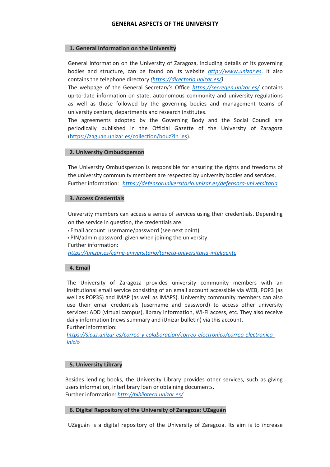# **GENERAL ASPECTS OF THE UNIVERSITY**

#### **1. General Information on the University**

General information on the University of Zaragoza, including details of its governing bodies and structure, can be found on its website *[http://www.unizar.es](http://www.unizar.es/)*. It also contains the telephone directory *[\(https://directorio.unizar.es/\)](https://directorio.unizar.es/).*

The webpage of the General Secretary's Office *<https://secregen.unizar.es/>* contains up-to-date information on state, autonomous community and university regulations as well as those followed by the governing bodies and management teams of university centers, departments and research institutes.

The agreements adopted by the Governing Body and the Social Council are periodically published in the Official Gazette of the University of Zaragoza [\(https://zaguan.unizar.es/collection/bouz?ln=es\)](https://zaguan.unizar.es/collection/bouz?ln=es).

#### **2. University Ombudsperson**

The University Ombudsperson is responsible for ensuring the rights and freedoms of the university community members are respected by university bodies and services. Further information: *<https://defensoruniversitario.unizar.es/defensora-universitaria>*

#### **3. Access Credentials**

University members can access a series of services using their credentials. Depending on the service in question, the credentials are:

• Email account: username/password (see next point). • PIN/admin password: given when joining the university. Further information: *<https://unizar.es/carne-universitario/tarjeta-universitaria-inteligente>*

## **4. Email**

The University of Zaragoza provides university community members with an institutional email service consisting of an email account accessible via WEB, POP3 (as well as POP3S) and IMAP (as well as IMAPS). University community members can also use their email credentials (username and password) to access other university services: ADD (virtual campus), library information, Wi-Fi access, etc. They also receive daily information (news summary and iUnizar bulletin) via this account**.** Further information:

*[https://sicuz.unizar.es/correo-y-colaboracion/correo-electronico/correo-electronico](https://sicuz.unizar.es/correo-y-colaboracion/correo-electronico/correo-electronico-inicio)[inicio](https://sicuz.unizar.es/correo-y-colaboracion/correo-electronico/correo-electronico-inicio)*

## **5. University Library**

Besides lending books, the University Library provides other services, such as giving users information, interlibrary loan or obtaining documents**.** Further information: *<http://biblioteca.unizar.es/>*

# **6. Digital Repository of the University of Zaragoza: UZaguán**

UZaguán is a digital repository of the University of Zaragoza. Its aim is to increase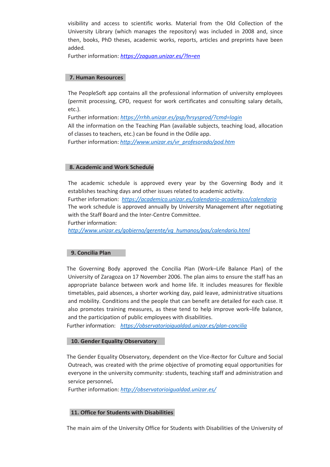visibility and access to scientific works. Material from the Old Collection of the University Library (which manages the repository) was included in 2008 and, since then, books, PhD theses, academic works, reports, articles and preprints have been added*.*

Further information: *<https://zaguan.unizar.es/?ln=en>*

#### **7. Human Resources**

The PeopleSoft app contains all the professional information of university employees (permit processing, CPD, request for work certificates and consulting salary details, etc.).

Further information: *<https://rrhh.unizar.es/psp/hrsysprod/?cmd=login>*

All the information on the Teaching Plan (available subjects, teaching load, allocation of classes to teachers, etc.) can be found in the Odile app.

Further information: *[http://www.unizar.es/vr\\_profesorado/pod.htm](http://www.unizar.es/vr_profesorado/pod.htm)*

## **8. Academic and Work Schedule**

The academic schedule is approved every year by the Governing Body and it establishes teaching days and other issues related to academic activity. Further information: *<https://academico.unizar.es/calendario-academico/calendario>* The work schedule is approved annually by University Management after negotiating with the Staff Board and the Inter-Centre Committee.

Further information:

*[http://www.unizar.es/gobierno/gerente/vg\\_humanos/pas/calendario.html](http://www.unizar.es/gobierno/gerente/vg_humanos/pas/calendario.html)*

## **9. Concilia Plan**

The Governing Body approved the Concilia Plan (Work–Life Balance Plan) of the University of Zaragoza on 17 November 2006. The plan aims to ensure the staff has an appropriate balance between work and home life. It includes measures for flexible timetables, paid absences, a shorter working day, paid leave, administrative situations and mobility. Conditions and the people that can benefit are detailed for each case. It also promotes training measures, as these tend to help improve work–life balance, and the participation of public employees with disabilities.

Further information: *<https://observatorioigualdad.unizar.es/plan-concilia>*

## **10. Gender Equality Observatory**

The Gender Equality Observatory, dependent on the Vice-Rector for Culture and Social Outreach, was created with the prime objective of promoting equal opportunities for everyone in the university community: students, teaching staff and administration and service personnel**.**

Further information: *<http://observatorioigualdad.unizar.es/>*

# **11. Office for Students with Disabilities**

The main aim of the University Office for Students with Disabilities of the University of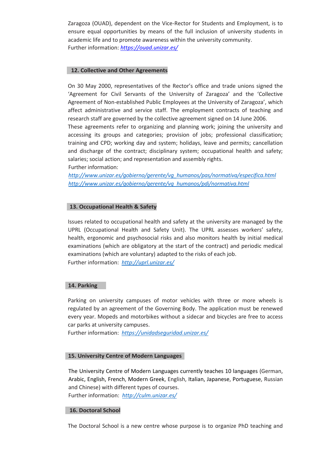Zaragoza (OUAD), dependent on the Vice-Rector for Students and Employment, is to ensure equal opportunities by means of the full inclusion of university students in academic life and to promote awareness within the university community. Further information: *<https://ouad.unizar.es/>*

# **12. Collective and Other Agreements**

On 30 May 2000, representatives of the Rector's office and trade unions signed the 'Agreement for Civil Servants of the University of Zaragoza' and the 'Collective Agreement of Non-established Public Employees at the University of Zaragoza', which affect administrative and service staff. The employment contracts of teaching and research staff are governed by the collective agreement signed on 14 June 2006.

These agreements refer to organizing and planning work; joining the university and accessing its groups and categories; provision of jobs; professional classification; training and CPD; working day and system; holidays, leave and permits; cancellation and discharge of the contract; disciplinary system; occupational health and safety; salaries; social action; and representation and assembly rights. Further information:

*[http://www.unizar.es/gobierno/gerente/vg\\_humanos/pas/normativa/especifica.html](http://www.unizar.es/gobierno/gerente/vg_humanos/pas/normativa/especifica.html) [http://www.unizar.es/gobierno/gerente/vg\\_humanos/pdi/normativa.html](http://www.unizar.es/gobierno/gerente/vg_humanos/pdi/normativa.html)*

# **13. Occupational Health & Safety**

Issues related to occupational health and safety at the university are managed by the UPRL (Occupational Health and Safety Unit). The UPRL assesses workers' safety, health, ergonomic and psychosocial risks and also monitors health by initial medical examinations (which are obligatory at the start of the contract) and periodic medical examinations (which are voluntary) adapted to the risks of each job. Further information: *<http://uprl.unizar.es/>*

## **14. Parking**

Parking on university campuses of motor vehicles with three or more wheels is regulated by an agreement of the Governing Body. The application must be renewed every year. Mopeds and motorbikes without a sidecar and bicycles are free to access car parks at university campuses.

Further information: *<https://unidadseguridad.unizar.es/>*

## **15. University Centre of Modern Languages**

The University Centre of Modern Languages currently teaches 10 languages (German, Arabic, English, French, Modern Greek, English, Italian, Japanese, Portuguese, Russian and Chinese) with different types of courses. Further information: *<http://culm.unizar.es/>*

#### **16. Doctoral School**

The Doctoral School is a new centre whose purpose is to organize PhD teaching and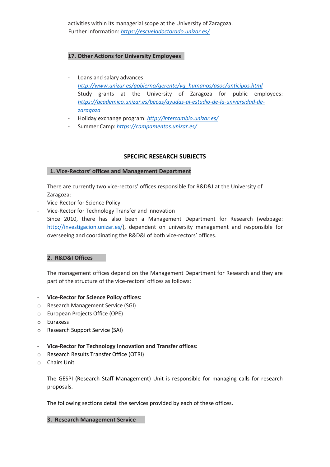activities within its managerial scope at the University of Zaragoza. Further information: *[https://escueladoctorado.unizar.es/](https://escueladoctorado.unizar.es/es/presentaci%C3%B3n)*

# **17. Other Actions for University Employees**

- Loans and salary advances: *[http://www.unizar.es/gobierno/gerente/vg\\_humanos/asoc/anticipos.html](http://www.unizar.es/gobierno/gerente/vg_humanos/asoc/anticipos.html)*
- Study grants at the University of Zaragoza for public employees: *[https://academico.unizar.es/becas/ayudas-al-estudio-de-la-universidad-de](https://academico.unizar.es/becas/ayudas-al-estudio-de-la-universidad-de-zaragoza)[zaragoza](https://academico.unizar.es/becas/ayudas-al-estudio-de-la-universidad-de-zaragoza)*
- Holiday exchange program: *<http://intercambio.unizar.es/>*
- Summer Camp: *<https://campamentos.unizar.es/>*

# **SPECIFIC RESEARCH SUBJECTS**

# **1. Vice-Rectors' offices and Management Department**

There are currently two vice-rectors' offices responsible for R&D&I at the University of Zaragoza:

- Vice-Rector for Science Policy
- Vice-Rector for Technology Transfer and Innovation

Since 2010, there has also been a Management Department for Research (webpage: [http://investigacion.unizar.es/\)](http://investigacion.unizar.es/), dependent on university management and responsible for overseeing and coordinating the R&D&I of both vice-rectors' offices.

# **2. R&D&I Offices**

The management offices depend on the Management Department for Research and they are part of the structure of the vice-rectors' offices as follows:

# - **Vice-Rector for Science Policy offices:**

- o Research Management Service (SGI)
- o European Projects Office (OPE)
- o Euraxess
- o Research Support Service (SAI)
- **Vice-Rector for Technology Innovation and Transfer offices:**
- o Research Results Transfer Office (OTRI)
- o Chairs Unit

The GESPI (Research Staff Management) Unit is responsible for managing calls for research proposals.

The following sections detail the services provided by each of these offices.

## **3. Research Management Service**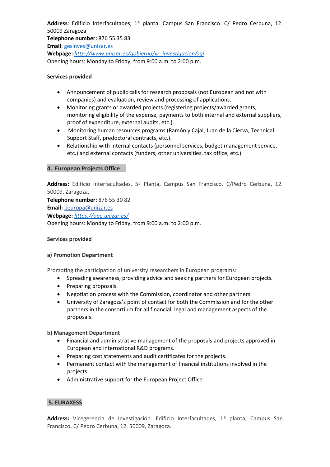**Address**: Edificio Interfacultades, 1ª planta. Campus San Francisco. C/ Pedro Cerbuna, 12. 50009 Zaragoza **Telephone number:** 876 55 35 83 **Email**[: gesinves@unizar.es](mailto:gesinves@unizar.es) **Webpage:** *[http://www.unizar.es/gobierno/vr\\_investigacion/sgi](http://www.unizar.es/gobierno/vr_investigacion/sgi)* Opening hours: Monday to Friday, from 9:00 a.m. to 2:00 p.m.

# **Services provided**

- Announcement of public calls for research proposals (not European and not with companies) and evaluation, review and processing of applications.
- Monitoring grants or awarded projects (registering projects/awarded grants, monitoring eligibility of the expense, payments to both internal and external suppliers, proof of expenditure, external audits, etc.).
- Monitoring human resources programs (Ramón y Cajal, Juan de la Cierva, Technical Support Staff, predoctoral contracts, etc.).
- Relationship with internal contacts (personnel services, budget management service, etc.) and external contacts (funders, other universities, tax office, etc.).

## **4. European Projects Office**

**Address:** Edificio Interfacultades, 5ª Planta, Campus San Francisco. C/Pedro Cerbuna, 12. 50009, Zaragoza.

**Telephone number:** 876 55 30 82 **Email:** [peuropa@unizar.es](mailto:peuropa@unizar.es) **Webpage:** *<https://ope.unizar.es/>* Opening hours: Monday to Friday, from 9:00 a.m. to 2:00 p.m.

## **Services provided**

## **a) Promotion Department**

Promoting the participation of university researchers in European programs:

- Spreading awareness, providing advice and seeking partners for European projects.
- Preparing proposals.
- Negotiation process with the Commission, coordinator and other partners.
- University of Zaragoza's point of contact for both the Commission and for the other partners in the consortium for all financial, legal and management aspects of the proposals.

## **b) Management Department**

- Financial and administrative management of the proposals and projects approved in European and international R&D programs.
- Preparing cost statements and audit certificates for the projects.
- Permanent contact with the management of financial institutions involved in the projects.
- Administrative support for the European Project Office.

# **5. EURAXESS**

**Address:** Vicegerencia de Investigación. Edificio Interfacultades, 1ª planta, Campus San Francisco. C/ Pedro Cerbuna, 12. 50009, Zaragoza.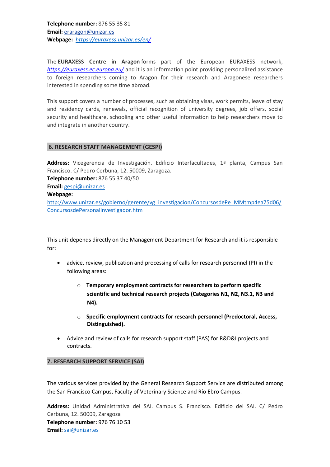**Telephone number:** 876 55 35 81 **Email:** [eraragon@unizar.es](mailto:eraragon@unizar.es) **Webpage:** *[https://euraxess.unizar.es/en/](https://euraxess.unizar.es/)*

The **EURAXESS Centre in Aragon** forms part of the European EURAXESS network, *<https://euraxess.ec.europa.eu/>* and it is an information point providing personalized assistance to foreign researchers coming to Aragon for their research and Aragonese researchers interested in spending some time abroad.

This support covers a number of processes, such as obtaining visas, work permits, leave of stay and residency cards, renewals, official recognition of university degrees, job offers, social security and healthcare, schooling and other useful information to help researchers move to and integrate in another country.

# **6. RESEARCH STAFF MANAGEMENT (GESPI)**

**Address:** Vicegerencia de Investigación. Edificio Interfacultades, 1ª planta, Campus San Francisco. C/ Pedro Cerbuna, 12. 50009, Zaragoza. **Telephone number:** 876 55 37 40/50 **Email:** [gespi@unizar.es](mailto:gespi@unizar.es) **Webpage:** [http://www.unizar.es/gobierno/gerente/vg\\_investigacion/ConcursosdePe\\_MMtmp4ea75d06/](http://www.unizar.es/gobierno/gerente/vg_investigacion/ConcursosdePe_MMtmp4ea75d06/ConcursosdePersonalInvestigador.htm) [ConcursosdePersonalInvestigador.htm](http://www.unizar.es/gobierno/gerente/vg_investigacion/ConcursosdePe_MMtmp4ea75d06/ConcursosdePersonalInvestigador.htm)

This unit depends directly on the Management Department for Research and it is responsible for:

- advice, review, publication and processing of calls for research personnel (PI) in the following areas:
	- o **Temporary employment contracts for researchers to perform specific scientific and technical research projects (Categories N1, N2, N3.1, N3 and N4).**
	- o **Specific employment contracts for research personnel (Predoctoral, Access, Distinguished).**
- Advice and review of calls for research support staff (PAS) for R&D&I projects and contracts.

## **7. RESEARCH SUPPORT SERVICE (SAI)**

The various services provided by the General Research Support Service are distributed among the San Francisco Campus, Faculty of Veterinary Science and Río Ebro Campus.

**Address:** Unidad Administrativa del SAI. Campus S. Francisco. Edificio del SAI. C/ Pedro Cerbuna, 12. 50009, Zaragoza **Telephone number:** 976 76 10 53 **Email:** [sai@unizar.es](mailto:sai@unizar.es)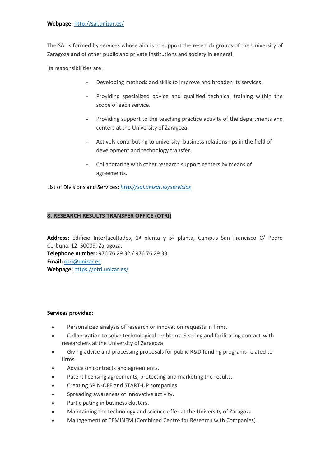The SAI is formed by services whose aim is to support the research groups of the University of Zaragoza and of other public and private institutions and society in general.

Its responsibilities are:

- Developing methods and skills to improve and broaden its services.
- Providing specialized advice and qualified technical training within the scope of each service.
- Providing support to the teaching practice activity of the departments and centers at the University of Zaragoza.
- Actively contributing to university–business relationships in the field of development and technology transfer.
- Collaborating with other research support centers by means of agreements.

List of Divisions and Services: *<http://sai.unizar.es/servicios>*

# **8. RESEARCH RESULTS TRANSFER OFFICE (OTRI)**

**Address:** Edificio Interfacultades, 1ª planta y 5ª planta, Campus San Francisco C/ Pedro Cerbuna, 12. 50009, Zaragoza. **Telephone number:** 976 76 29 32 / 976 76 29 33 **Email:** [otri@unizar.es](mailto:otri@unizar.es) **Webpage:** <https://otri.unizar.es/>

# **Services provided:**

- Personalized analysis of research or innovation requests in firms.
- Collaboration to solve technological problems. Seeking and facilitating contact with researchers at the University of Zaragoza.
- Giving advice and processing proposals for public R&D funding programs related to firms.
- Advice on contracts and agreements.
- Patent licensing agreements, protecting and marketing the results.
- Creating SPIN-OFF and START-UP companies.
- Spreading awareness of innovative activity.
- Participating in business clusters.
- Maintaining the technology and science offer at the University of Zaragoza.
- Management of CEMINEM (Combined Centre for Research with Companies).